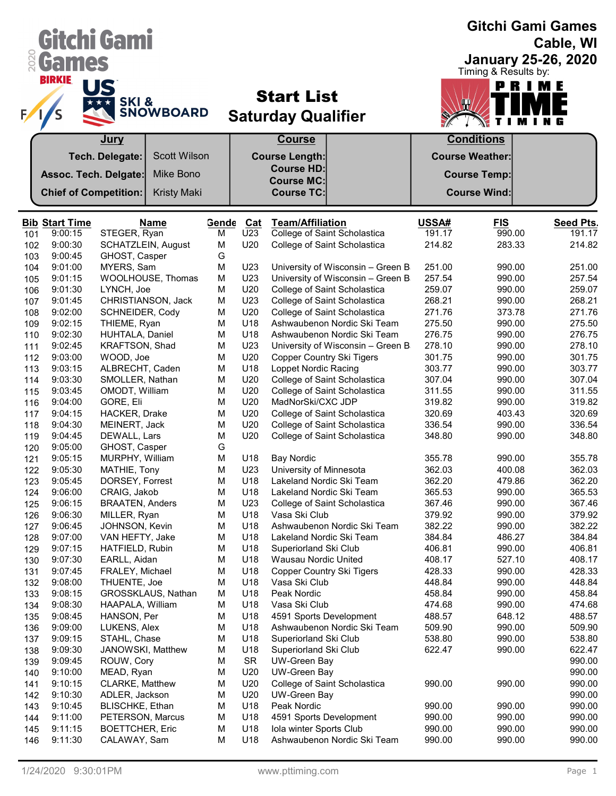|            |                              | Gitchi Gami                            |        |            |                                                                   |                  | <b>Gitchi Gami Games</b>      | Cable, WI        |
|------------|------------------------------|----------------------------------------|--------|------------|-------------------------------------------------------------------|------------------|-------------------------------|------------------|
| 020        | Games                        |                                        |        |            |                                                                   |                  | <b>January 25-26, 2020</b>    |                  |
|            | <b>BIRKIE</b>                |                                        |        |            | <b>Start List</b>                                                 |                  | Timing & Results by:<br>PRIME |                  |
| F,         |                              | SKI&<br><b>SNOWBOARD</b>               |        |            | <b>Saturday Qualifier</b>                                         |                  | $\mathbf{r}$                  |                  |
|            |                              | <u>Jury</u>                            |        |            | <b>Course</b>                                                     |                  | <b>Conditions</b>             |                  |
|            |                              | Tech. Delegate:<br><b>Scott Wilson</b> |        |            | <b>Course Length:</b>                                             |                  | <b>Course Weather:</b>        |                  |
|            | Assoc. Tech. Delgate:        | Mike Bono                              |        |            | <b>Course HD:</b><br><b>Course MC:</b>                            |                  | <b>Course Temp:</b>           |                  |
|            | <b>Chief of Competition:</b> | <b>Kristy Maki</b>                     |        |            | <b>Course TC:</b>                                                 |                  | <b>Course Wind:</b>           |                  |
|            | <b>Bib Start Time</b>        | <b>Name</b>                            | Gende  | <b>Cat</b> | <b>Team/Affiliation</b>                                           | USSA#            | <b>FIS</b>                    | <b>Seed Pts.</b> |
| 101        | 9:00:15                      | STEGER, Ryan                           | м      | U23        | College of Saint Scholastica                                      | 191.17           | 990.00                        | 191.17           |
| 102        | 9:00:30                      | SCHATZLEIN, August                     | M      | U20        | College of Saint Scholastica                                      | 214.82           | 283.33                        | 214.82           |
| 103        | 9:00:45                      | GHOST, Casper                          | G      |            |                                                                   |                  |                               |                  |
| 104        | 9:01:00                      | MYERS, Sam                             | M      | U23        | University of Wisconsin - Green B                                 | 251.00           | 990.00                        | 251.00           |
| 105        | 9:01:15<br>9:01:30           | WOOLHOUSE, Thomas<br>LYNCH, Joe        | M<br>M | U23<br>U20 | University of Wisconsin - Green B<br>College of Saint Scholastica | 257.54<br>259.07 | 990.00<br>990.00              | 257.54<br>259.07 |
| 106<br>107 | 9:01:45                      | CHRISTIANSON, Jack                     | M      | U23        | College of Saint Scholastica                                      | 268.21           | 990.00                        | 268.21           |
| 108        | 9:02:00                      | SCHNEIDER, Cody                        | M      | U20        | College of Saint Scholastica                                      | 271.76           | 373.78                        | 271.76           |
| 109        | 9:02:15                      | THIEME, Ryan                           | M      | U18        | Ashwaubenon Nordic Ski Team                                       | 275.50           | 990.00                        | 275.50           |
| 110        | 9:02:30                      | HUHTALA, Daniel                        | M      | U18        | Ashwaubenon Nordic Ski Team                                       | 276.75           | 990.00                        | 276.75           |
| 111        | 9:02:45                      | KRAFTSON, Shad                         | M      | U23        | University of Wisconsin - Green B                                 | 278.10           | 990.00                        | 278.10           |
| 112        | 9:03:00                      | WOOD, Joe                              | M      | U20        | <b>Copper Country Ski Tigers</b>                                  | 301.75           | 990.00                        | 301.75           |
| 113<br>114 | 9:03:15<br>9:03:30           | ALBRECHT, Caden<br>SMOLLER, Nathan     | M<br>M | U18<br>U20 | Loppet Nordic Racing<br>College of Saint Scholastica              | 303.77<br>307.04 | 990.00<br>990.00              | 303.77<br>307.04 |
| 115        | 9:03:45                      | OMODT, William                         | M      | U20        | College of Saint Scholastica                                      | 311.55           | 990.00                        | 311.55           |
| 116        | 9:04:00                      | GORE, Eli                              | M      | U20        | MadNorSki/CXC JDP                                                 | 319.82           | 990.00                        | 319.82           |
| 117        | 9:04:15                      | HACKER, Drake                          | M      | U20        | College of Saint Scholastica                                      | 320.69           | 403.43                        | 320.69           |
| 118        | 9:04:30                      | MEINERT, Jack                          | M      | U20        | College of Saint Scholastica                                      | 336.54           | 990.00                        | 336.54           |
| 119        | 9:04:45                      | DEWALL, Lars                           | M      | U20        | College of Saint Scholastica                                      | 348.80           | 990.00                        | 348.80           |
| 120        | 9:05:00                      | GHOST, Casper                          | G      |            |                                                                   |                  |                               |                  |
| 121        | 9:05:15                      | MURPHY, William                        | М      | U18        | <b>Bay Nordic</b>                                                 | 355.78           | 990.00                        | 355.78           |
| 122        | 9:05:30<br>9:05:45           | MATHIE, Tony<br>DORSEY, Forrest        | M<br>M | U23<br>U18 | University of Minnesota<br>Lakeland Nordic Ski Team               | 362.03<br>362.20 | 400.08<br>479.86              | 362.03<br>362.20 |
| 123<br>124 | 9:06:00                      | CRAIG, Jakob                           | M      | U18        | Lakeland Nordic Ski Team                                          | 365.53           | 990.00                        | 365.53           |
| 125        | 9:06:15                      | <b>BRAATEN, Anders</b>                 | M      | U23        | College of Saint Scholastica                                      | 367.46           | 990.00                        | 367.46           |
| 126        | 9:06:30                      | MILLER, Ryan                           | M      | U18        | Vasa Ski Club                                                     | 379.92           | 990.00                        | 379.92           |
| 127        | 9:06:45                      | JOHNSON, Kevin                         | M      | U18        | Ashwaubenon Nordic Ski Team                                       | 382.22           | 990.00                        | 382.22           |
| 128        | 9:07:00                      | VAN HEFTY, Jake                        | M      | U18        | Lakeland Nordic Ski Team                                          | 384.84           | 486.27                        | 384.84           |
| 129        | 9:07:15                      | HATFIELD, Rubin                        | M      | U18        | Superiorland Ski Club                                             | 406.81           | 990.00                        | 406.81           |
| 130        | 9:07:30                      | EARLL, Aidan                           | M      | U18        | Wausau Nordic United                                              | 408.17           | 527.10                        | 408.17           |
| 131        | 9:07:45<br>9:08:00           | FRALEY, Michael<br>THUENTE, Joe        | M<br>M | U18<br>U18 | <b>Copper Country Ski Tigers</b><br>Vasa Ski Club                 | 428.33<br>448.84 | 990.00                        | 428.33<br>448.84 |
| 132<br>133 | 9:08:15                      | GROSSKLAUS, Nathan                     | M      | U18        | Peak Nordic                                                       | 458.84           | 990.00<br>990.00              | 458.84           |
| 134        | 9:08:30                      | HAAPALA, William                       | M      | U18        | Vasa Ski Club                                                     | 474.68           | 990.00                        | 474.68           |
| 135        | 9:08:45                      | HANSON, Per                            | M      | U18        | 4591 Sports Development                                           | 488.57           | 648.12                        | 488.57           |
| 136        | 9:09:00                      | LUKENS, Alex                           | M      | U18        | Ashwaubenon Nordic Ski Team                                       | 509.90           | 990.00                        | 509.90           |
| 137        | 9:09:15                      | STAHL, Chase                           | M      | U18        | Superiorland Ski Club                                             | 538.80           | 990.00                        | 538.80           |
| 138        | 9:09:30                      | JANOWSKI, Matthew                      | M      | U18        | Superiorland Ski Club                                             | 622.47           | 990.00                        | 622.47           |
| 139        | 9:09:45                      | ROUW, Cory                             | M      | <b>SR</b>  | UW-Green Bay                                                      |                  |                               | 990.00           |
| 140        | 9:10:00<br>9:10:15           | MEAD, Ryan<br><b>CLARKE, Matthew</b>   | M<br>M | U20<br>U20 | <b>UW-Green Bay</b><br>College of Saint Scholastica               | 990.00           | 990.00                        | 990.00<br>990.00 |
| 141<br>142 | 9:10:30                      | ADLER, Jackson                         | M      | U20        | UW-Green Bay                                                      |                  |                               | 990.00           |
| 143        | 9:10:45                      | <b>BLISCHKE, Ethan</b>                 | M      | U18        | Peak Nordic                                                       | 990.00           | 990.00                        | 990.00           |
| 144        | 9:11:00                      | PETERSON, Marcus                       | M      | U18        | 4591 Sports Development                                           | 990.00           | 990.00                        | 990.00           |
| 145        | 9:11:15                      | <b>BOETTCHER, Eric</b>                 | M      | U18        | Iola winter Sports Club                                           | 990.00           | 990.00                        | 990.00           |
| 146        | 9:11:30                      | CALAWAY, Sam                           | M      | U18        | Ashwaubenon Nordic Ski Team                                       | 990.00           | 990.00                        | 990.00           |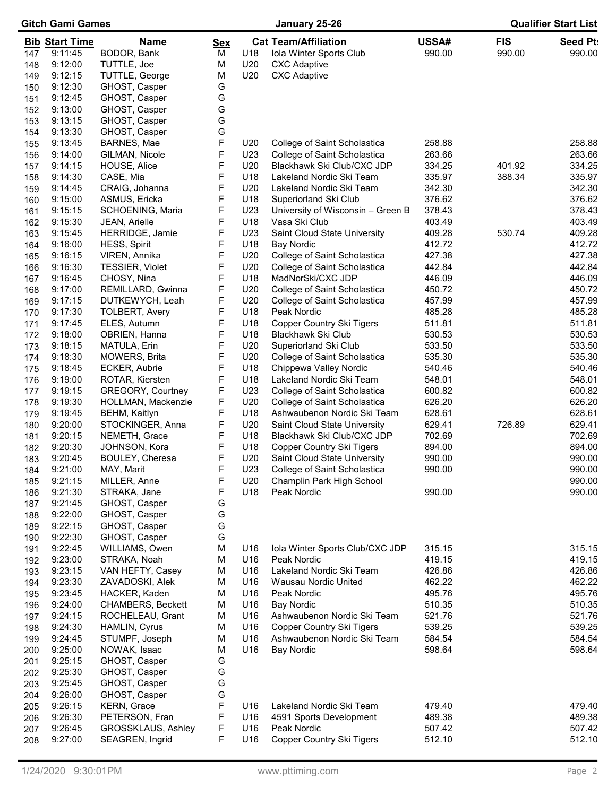|     | Gitch Gami Games      |                                |            |     | January 25-26                     | <b>Qualifier Start List</b> |            |                |
|-----|-----------------------|--------------------------------|------------|-----|-----------------------------------|-----------------------------|------------|----------------|
|     | <b>Bib Start Time</b> | <u>Name</u>                    | <u>Sex</u> |     | <b>Cat Team/Affiliation</b>       | USSA#                       | <b>FIS</b> | <b>Seed Pt</b> |
| 147 | 9:11:45               | BODOR, Bank                    | м          | U18 | Iola Winter Sports Club           | 990.00                      | 990.00     | 990.00         |
| 148 | 9:12:00               | TUTTLE, Joe                    | M          | U20 | <b>CXC Adaptive</b>               |                             |            |                |
| 149 | 9:12:15               | TUTTLE, George                 | M          | U20 | <b>CXC Adaptive</b>               |                             |            |                |
| 150 | 9:12:30               | GHOST, Casper                  | G          |     |                                   |                             |            |                |
| 151 | 9:12:45               | GHOST, Casper                  | G          |     |                                   |                             |            |                |
| 152 | 9:13:00               | GHOST, Casper                  | G          |     |                                   |                             |            |                |
| 153 | 9:13:15               | GHOST, Casper                  | G          |     |                                   |                             |            |                |
| 154 | 9:13:30               | GHOST, Casper                  | G          |     |                                   |                             |            |                |
| 155 | 9:13:45               | BARNES, Mae                    | F          | U20 | College of Saint Scholastica      | 258.88                      |            | 258.88         |
| 156 | 9:14:00               | GILMAN, Nicole                 | F          | U23 | College of Saint Scholastica      | 263.66                      |            | 263.66         |
| 157 | 9:14:15               | HOUSE, Alice                   | F          | U20 | Blackhawk Ski Club/CXC JDP        | 334.25                      | 401.92     | 334.25         |
| 158 | 9:14:30               | CASE, Mia                      | F          | U18 | Lakeland Nordic Ski Team          | 335.97                      | 388.34     | 335.97         |
| 159 | 9:14:45               | CRAIG, Johanna                 | F          | U20 | Lakeland Nordic Ski Team          | 342.30                      |            | 342.30         |
| 160 | 9:15:00               | ASMUS, Ericka                  | F          | U18 | Superiorland Ski Club             | 376.62                      |            | 376.62         |
| 161 | 9:15:15               | SCHOENING, Maria               | F          | U23 | University of Wisconsin – Green B | 378.43                      |            | 378.43         |
| 162 | 9:15:30               | JEAN, Arielle                  | F          | U18 | Vasa Ski Club                     | 403.49                      |            | 403.49         |
| 163 | 9:15:45               | HERRIDGE, Jamie                | F          | U23 | Saint Cloud State University      | 409.28                      | 530.74     | 409.28         |
| 164 | 9:16:00               | HESS, Spirit                   | F          | U18 | Bay Nordic                        | 412.72                      |            | 412.72         |
| 165 | 9:16:15               | VIREN, Annika                  | F          | U20 | College of Saint Scholastica      | 427.38                      |            | 427.38         |
| 166 | 9:16:30               | TESSIER, Violet                | F          | U20 | College of Saint Scholastica      | 442.84                      |            | 442.84         |
| 167 | 9:16:45               | CHOSY, Nina                    | F          | U18 | MadNorSki/CXC JDP                 | 446.09                      |            | 446.09         |
| 168 | 9:17:00               | REMILLARD, Gwinna              | F          | U20 | College of Saint Scholastica      | 450.72                      |            | 450.72         |
| 169 | 9:17:15               | DUTKEWYCH, Leah                | F          | U20 | College of Saint Scholastica      | 457.99                      |            | 457.99         |
| 170 | 9:17:30               | TOLBERT, Avery                 | F          | U18 | Peak Nordic                       | 485.28                      |            | 485.28         |
| 171 | 9:17:45               | ELES, Autumn                   | F          | U18 | <b>Copper Country Ski Tigers</b>  | 511.81                      |            | 511.81         |
| 172 | 9:18:00               | OBRIEN, Hanna                  | F          | U18 | Blackhawk Ski Club                | 530.53                      |            | 530.53         |
| 173 | 9:18:15               | MATULA, Erin                   | F          | U20 | Superiorland Ski Club             | 533.50                      |            | 533.50         |
| 174 | 9:18:30               | MOWERS, Brita                  | F          | U20 | College of Saint Scholastica      | 535.30                      |            | 535.30         |
| 175 | 9:18:45               | ECKER, Aubrie                  | F          | U18 | Chippewa Valley Nordic            | 540.46                      |            | 540.46         |
| 176 | 9:19:00               | ROTAR, Kiersten                | F          | U18 | Lakeland Nordic Ski Team          | 548.01                      |            | 548.01         |
| 177 | 9:19:15               | <b>GREGORY, Courtney</b>       | F          | U23 | College of Saint Scholastica      | 600.82                      |            | 600.82         |
| 178 | 9:19:30               | HOLLMAN, Mackenzie             | F          | U20 | College of Saint Scholastica      | 626.20                      |            | 626.20         |
| 179 | 9:19:45               | BEHM, Kaitlyn                  | F          | U18 | Ashwaubenon Nordic Ski Team       | 628.61                      |            | 628.61         |
| 180 | 9:20:00               | STOCKINGER, Anna               | F          | U20 | Saint Cloud State University      | 629.41                      | 726.89     | 629.41         |
| 181 | 9:20:15               | NEMETH, Grace                  | F          | U18 | Blackhawk Ski Club/CXC JDP        | 702.69                      |            | 702.69         |
| 182 | 9:20:30               | JOHNSON, Kora                  | F          | U18 | <b>Copper Country Ski Tigers</b>  | 894.00                      |            | 894.00         |
| 183 | 9:20:45               | BOULEY, Cheresa                | F          | U20 | Saint Cloud State University      | 990.00                      |            | 990.00         |
| 184 | 9:21:00               | MAY, Marit                     | F          | U23 | College of Saint Scholastica      | 990.00                      |            | 990.00         |
| 185 | 9:21:15               | MILLER, Anne                   | F          | U20 | Champlin Park High School         |                             |            | 990.00         |
| 186 | 9:21:30               | STRAKA, Jane                   | F          | U18 | Peak Nordic                       | 990.00                      |            | 990.00         |
| 187 | 9:21:45               | GHOST, Casper                  | G          |     |                                   |                             |            |                |
| 188 | 9:22:00               | GHOST, Casper                  | G          |     |                                   |                             |            |                |
| 189 | 9:22:15               | GHOST, Casper                  | G          |     |                                   |                             |            |                |
| 190 | 9:22:30               | GHOST, Casper                  | G          |     |                                   |                             |            |                |
| 191 | 9:22:45               | WILLIAMS, Owen                 | M          | U16 | Iola Winter Sports Club/CXC JDP   | 315.15                      |            | 315.15         |
| 192 | 9:23:00               | STRAKA, Noah                   | M          | U16 | Peak Nordic                       | 419.15                      |            | 419.15         |
| 193 | 9:23:15               | VAN HEFTY, Casey               | M          | U16 | Lakeland Nordic Ski Team          | 426.86                      |            | 426.86         |
| 194 | 9:23:30               | ZAVADOSKI, Alek                | M          | U16 | <b>Wausau Nordic United</b>       | 462.22                      |            | 462.22         |
| 195 | 9:23:45               | HACKER, Kaden                  | M          | U16 | Peak Nordic                       | 495.76                      |            | 495.76         |
| 196 | 9:24:00               | CHAMBERS, Beckett              | M          | U16 | <b>Bay Nordic</b>                 | 510.35                      |            | 510.35         |
| 197 | 9:24:15               | ROCHELEAU, Grant               | м          | U16 | Ashwaubenon Nordic Ski Team       | 521.76                      |            | 521.76         |
| 198 | 9:24:30               | <b>HAMLIN, Cyrus</b>           | M          | U16 | <b>Copper Country Ski Tigers</b>  | 539.25                      |            | 539.25         |
| 199 | 9:24:45               | STUMPF, Joseph                 | M          | U16 | Ashwaubenon Nordic Ski Team       | 584.54                      |            | 584.54         |
| 200 | 9:25:00               | NOWAK, Isaac                   | M          | U16 | <b>Bay Nordic</b>                 | 598.64                      |            | 598.64         |
| 201 | 9:25:15               | GHOST, Casper                  | G<br>G     |     |                                   |                             |            |                |
| 202 | 9:25:30               | GHOST, Casper                  | G          |     |                                   |                             |            |                |
| 203 | 9:25:45               | GHOST, Casper<br>GHOST, Casper | G          |     |                                   |                             |            |                |
| 204 | 9:26:00<br>9:26:15    | KERN, Grace                    | F          | U16 | Lakeland Nordic Ski Team          | 479.40                      |            | 479.40         |
| 205 |                       |                                |            |     |                                   |                             |            |                |

| KERN, Grace                                                         |                                                        | U16. | Lakeland Nordic Ski Team | 479.40                                               | 479.40 |
|---------------------------------------------------------------------|--------------------------------------------------------|------|--------------------------|------------------------------------------------------|--------|
| PETERSON, Fran                                                      |                                                        | U16  |                          | 489.38                                               | 489.38 |
|                                                                     |                                                        | U16  | Peak Nordic              | 507.42                                               | 507.42 |
|                                                                     |                                                        | U16  |                          | 512.10                                               | 512.10 |
| 204 9:26:00<br>205 9:26:15<br>206 9:26:30<br>9:26:45<br>208 9:27:00 | GHOST, Casper<br>GROSSKLAUS, Ashley<br>SEAGREN, Ingrid |      |                          | 4591 Sports Development<br>Copper Country Ski Tigers |        |